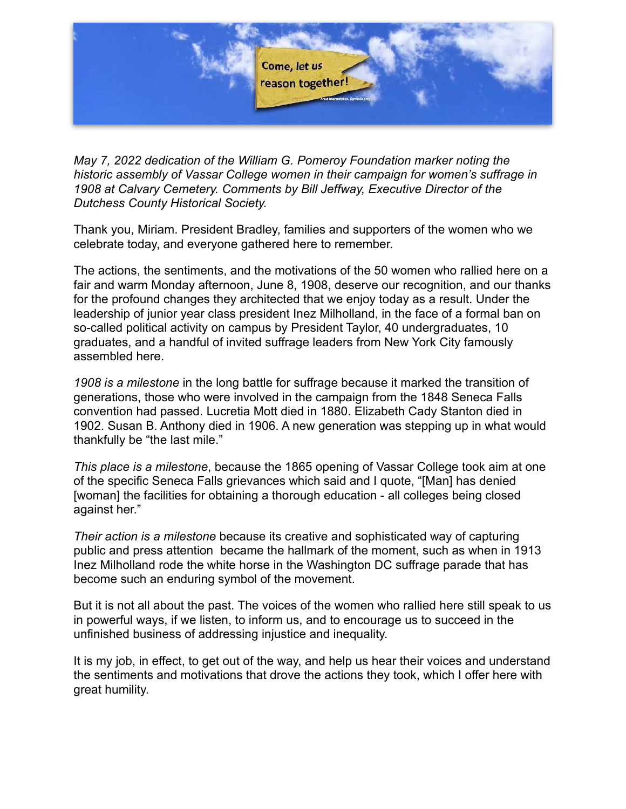

*May 7, 2022 dedication of the William G. Pomeroy Foundation marker noting the historic assembly of Vassar College women in their campaign for women's suffrage in 1908 at Calvary Cemetery. Comments by Bill Jeffway, Executive Director of the Dutchess County Historical Society.* 

Thank you, Miriam. President Bradley, families and supporters of the women who we celebrate today, and everyone gathered here to remember.

The actions, the sentiments, and the motivations of the 50 women who rallied here on a fair and warm Monday afternoon, June 8, 1908, deserve our recognition, and our thanks for the profound changes they architected that we enjoy today as a result. Under the leadership of junior year class president Inez Milholland, in the face of a formal ban on so-called political activity on campus by President Taylor, 40 undergraduates, 10 graduates, and a handful of invited suffrage leaders from New York City famously assembled here.

*1908 is a milestone* in the long battle for suffrage because it marked the transition of generations, those who were involved in the campaign from the 1848 Seneca Falls convention had passed. Lucretia Mott died in 1880. Elizabeth Cady Stanton died in 1902. Susan B. Anthony died in 1906. A new generation was stepping up in what would thankfully be "the last mile."

*This place is a milestone*, because the 1865 opening of Vassar College took aim at one of the specific Seneca Falls grievances which said and I quote, "[Man] has denied [woman] the facilities for obtaining a thorough education - all colleges being closed against her."

*Their action is a milestone* because its creative and sophisticated way of capturing public and press attention became the hallmark of the moment, such as when in 1913 Inez Milholland rode the white horse in the Washington DC suffrage parade that has become such an enduring symbol of the movement.

But it is not all about the past. The voices of the women who rallied here still speak to us in powerful ways, if we listen, to inform us, and to encourage us to succeed in the unfinished business of addressing injustice and inequality.

It is my job, in effect, to get out of the way, and help us hear their voices and understand the sentiments and motivations that drove the actions they took, which I offer here with great humility.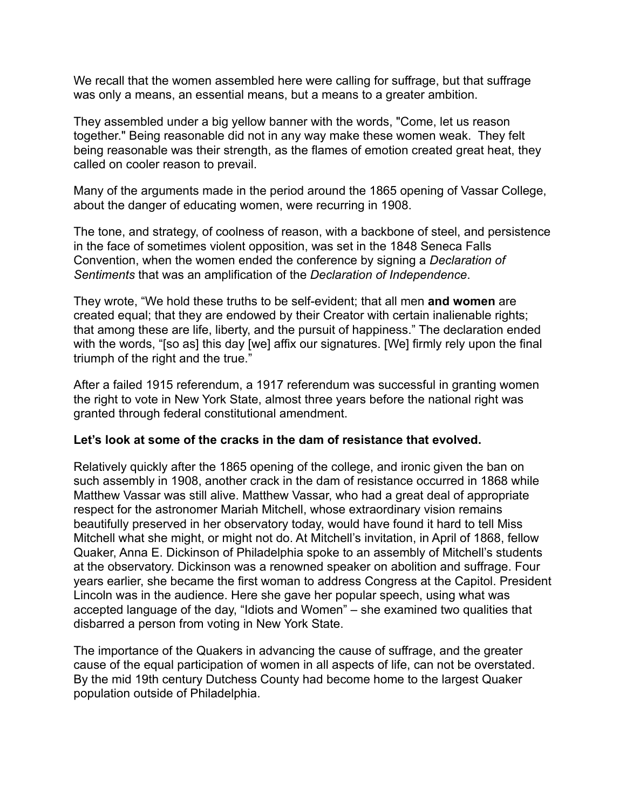We recall that the women assembled here were calling for suffrage, but that suffrage was only a means, an essential means, but a means to a greater ambition.

They assembled under a big yellow banner with the words, "Come, let us reason together." Being reasonable did not in any way make these women weak. They felt being reasonable was their strength, as the flames of emotion created great heat, they called on cooler reason to prevail.

Many of the arguments made in the period around the 1865 opening of Vassar College, about the danger of educating women, were recurring in 1908.

The tone, and strategy, of coolness of reason, with a backbone of steel, and persistence in the face of sometimes violent opposition, was set in the 1848 Seneca Falls Convention, when the women ended the conference by signing a *Declaration of Sentiments* that was an amplification of the *Declaration of Independence*.

They wrote, "We hold these truths to be self-evident; that all men **and women** are created equal; that they are endowed by their Creator with certain inalienable rights; that among these are life, liberty, and the pursuit of happiness." The declaration ended with the words, "[so as] this day [we] affix our signatures. [We] firmly rely upon the final triumph of the right and the true."

After a failed 1915 referendum, a 1917 referendum was successful in granting women the right to vote in New York State, almost three years before the national right was granted through federal constitutional amendment.

## **Let's look at some of the cracks in the dam of resistance that evolved.**

Relatively quickly after the 1865 opening of the college, and ironic given the ban on such assembly in 1908, another crack in the dam of resistance occurred in 1868 while Matthew Vassar was still alive. Matthew Vassar, who had a great deal of appropriate respect for the astronomer Mariah Mitchell, whose extraordinary vision remains beautifully preserved in her observatory today, would have found it hard to tell Miss Mitchell what she might, or might not do. At Mitchell's invitation, in April of 1868, fellow Quaker, Anna E. Dickinson of Philadelphia spoke to an assembly of Mitchell's students at the observatory. Dickinson was a renowned speaker on abolition and suffrage. Four years earlier, she became the first woman to address Congress at the Capitol. President Lincoln was in the audience. Here she gave her popular speech, using what was accepted language of the day, "Idiots and Women" – she examined two qualities that disbarred a person from voting in New York State.

The importance of the Quakers in advancing the cause of suffrage, and the greater cause of the equal participation of women in all aspects of life, can not be overstated. By the mid 19th century Dutchess County had become home to the largest Quaker population outside of Philadelphia.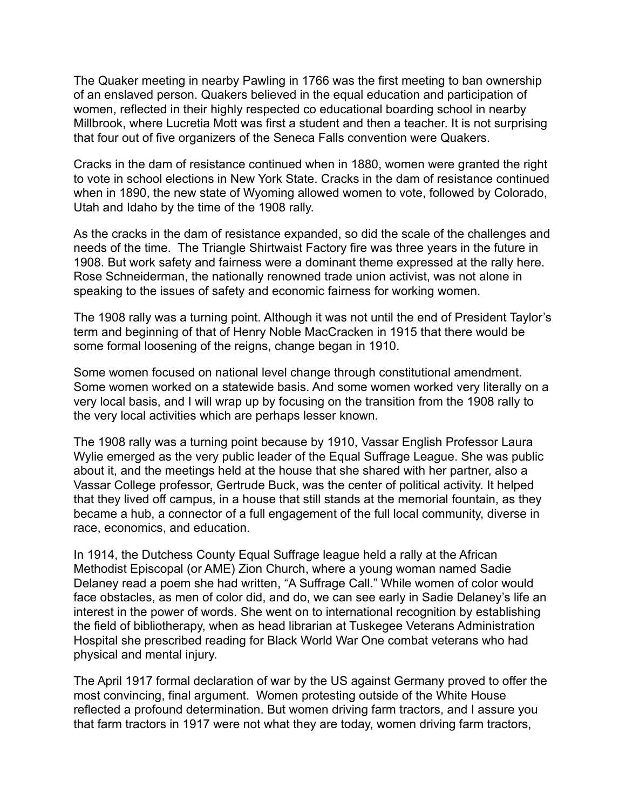The Quaker meeting in nearby Pawling in 1766 was the first meeting to ban ownership of an enslaved person. Quakers believed in the equal education and participation of women, reflected in their highly respected co educational boarding school in nearby Millbrook, where Lucretia Mott was first a student and then a teacher. It is not surprising that four out of five organizers of the Seneca Falls convention were Quakers.

Cracks in the dam of resistance continued when in 1880, women were granted the right to vote in school elections in New York State. Cracks in the dam of resistance continued when in 1890, the new state of Wyoming allowed women to vote, followed by Colorado, Utah and Idaho by the time of the 1908 rally.

As the cracks in the dam of resistance expanded, so did the scale of the challenges and needs of the time. The Triangle Shirtwaist Factory fire was three years in the future in 1908. But work safety and fairness were a dominant theme expressed at the rally here. Rose Schneiderman, the nationally renowned trade union activist, was not alone in speaking to the issues of safety and economic fairness for working women.

The 1908 rally was a turning point. Although it was not until the end of President Taylor's term and beginning of that of Henry Noble MacCracken in 1915 that there would be some formal loosening of the reigns, change began in 1910.

Some women focused on national level change through constitutional amendment. Some women worked on a statewide basis. And some women worked very literally on a very local basis, and I will wrap up by focusing on the transition from the 1908 rally to the very local activities which are perhaps lesser known.

The 1908 rally was a turning point because by 1910, Vassar English Professor Laura Wylie emerged as the very public leader of the Equal Suffrage League. She was public about it, and the meetings held at the house that she shared with her partner, also a Vassar College professor, Gertrude Buck, was the center of political activity. It helped that they lived off campus, in a house that still stands at the memorial fountain, as they became a hub, a connector of a full engagement of the full local community, diverse in race, economics, and education.

In 1914, the Dutchess County Equal Suffrage league held a rally at the African Methodist Episcopal (or AME) Zion Church, where a young woman named Sadie Delaney read a poem she had written, "A Suffrage Call." While women of color would face obstacles, as men of color did, and do, we can see early in Sadie Delaney's life an interest in the power of words. She went on to international recognition by establishing the field of bibliotherapy, when as head librarian at Tuskegee Veterans Administration Hospital she prescribed reading for Black World War One combat veterans who had physical and mental injury.

The April 1917 formal declaration of war by the US against Germany proved to offer the most convincing, final argument. Women protesting outside of the White House reflected a profound determination. But women driving farm tractors, and I assure you that farm tractors in 1917 were not what they are today, women driving farm tractors,